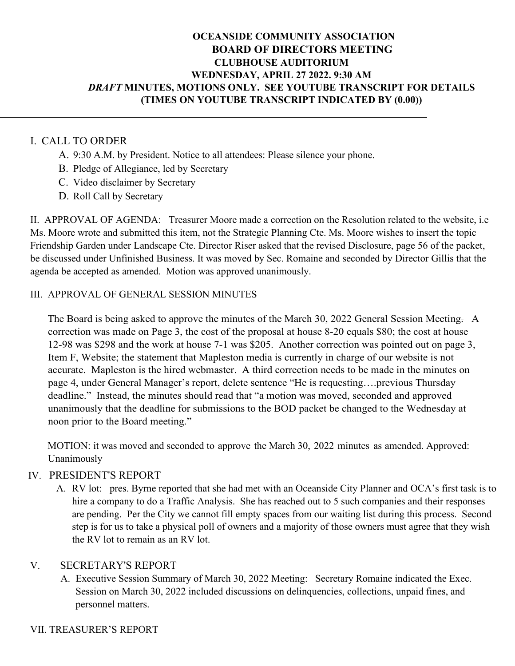# **OCEANSIDE COMMUNITY ASSOCIATION BOARD OF DIRECTORS MEETING CLUBHOUSE AUDITORIUM WEDNESDAY, APRIL 27 2022. 9:30 AM** *DRAFT* **MINUTES, MOTIONS ONLY. SEE YOUTUBE TRANSCRIPT FOR DETAILS (TIMES ON YOUTUBE TRANSCRIPT INDICATED BY (0.00))**

# I. CALL TO ORDER

- A. 9:30 A.M. by President. Notice to all attendees: Please silence your phone.
- B. Pledge of Allegiance, led by Secretary
- C. Video disclaimer by Secretary
- D. Roll Call by Secretary

II. APPROVAL OF AGENDA: Treasurer Moore made a correction on the Resolution related to the website, i.e Ms. Moore wrote and submitted this item, not the Strategic Planning Cte. Ms. Moore wishes to insert the topic Friendship Garden under Landscape Cte. Director Riser asked that the revised Disclosure, page 56 of the packet, be discussed under Unfinished Business. It was moved by Sec. Romaine and seconded by Director Gillis that the agenda be accepted as amended. Motion was approved unanimously.

## III. APPROVAL OF GENERAL SESSION MINUTES

The Board is being asked to approve the minutes of the March 30, 2022 General Session Meeting. A correction was made on Page 3, the cost of the proposal at house 8-20 equals \$80; the cost at house 12-98 was \$298 and the work at house 7-1 was \$205. Another correction was pointed out on page 3, Item F, Website; the statement that Mapleston media is currently in charge of our website is not accurate. Mapleston is the hired webmaster. A third correction needs to be made in the minutes on page 4, under General Manager's report, delete sentence "He is requesting….previous Thursday deadline." Instead, the minutes should read that "a motion was moved, seconded and approved unanimously that the deadline for submissions to the BOD packet be changed to the Wednesday at noon prior to the Board meeting."

MOTION: it was moved and seconded to approve the March 30, 2022 minutes as amended. Approved: Unanimously

## IV. PRESIDENT'S REPORT

A. RV lot: pres. Byrne reported that she had met with an Oceanside City Planner and OCA's first task is to hire a company to do a Traffic Analysis. She has reached out to 5 such companies and their responses are pending. Per the City we cannot fill empty spaces from our waiting list during this process. Second step is for us to take a physical poll of owners and a majority of those owners must agree that they wish the RV lot to remain as an RV lot.

## V. SECRETARY'S REPORT

A. Executive Session Summary of March 30, 2022 Meeting: Secretary Romaine indicated the Exec. Session on March 30, 2022 included discussions on delinquencies, collections, unpaid fines, and personnel matters.

## VII. TREASURER'S REPORT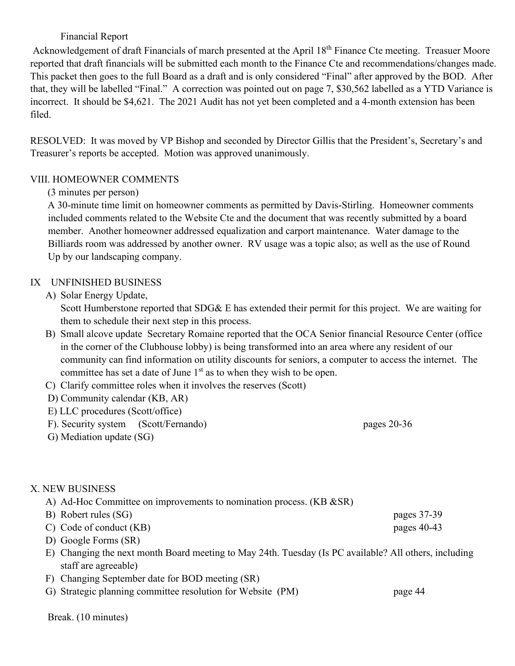# Financial Report

Acknowledgement of draft Financials of march presented at the April 18<sup>th</sup> Finance Cte meeting. Treasuer Moore reported that draft financials will be submitted each month to the Finance Cte and recommendations/changes made. This packet then goes to the full Board as a draft and is only considered "Final" after approved by the BOD. After that, they will be labelled "Final." A correction was pointed out on page 7, \$30,562 labelled as a YTD Variance is incorrect. It should be \$4,621. The 2021 Audit has not yet been completed and a 4-month extension has been filed.

RESOLVED: It was moved by VP Bishop and seconded by Director Gillis that the President's, Secretary's and Treasurer's reports be accepted. Motion was approved unanimously.

## VIII. HOMEOWNER COMMENTS

## (3 minutes per person)

A 30-minute time limit on homeowner comments as permitted by Davis-Stirling. Homeowner comments included comments related to the Website Cte and the document that was recently submitted by a board member. Another homeowner addressed equalization and carport maintenance. Water damage to the Billiards room was addressed by another owner. RV usage was a topic also; as well as the use of Round Up by our landscaping company.

## IX UNFINISHED BUSINESS

A) Solar Energy Update,

Scott Humberstone reported that SDG& E has extended their permit for this project. We are waiting for them to schedule their next step in this process.

- B) Small alcove update Secretary Romaine reported that the OCA Senior financial Resource Center (office in the corner of the Clubhouse lobby) is being transformed into an area where any resident of our community can find information on utility discounts for seniors, a computer to access the internet. The committee has set a date of June  $1<sup>st</sup>$  as to when they wish to be open.
- C) Clarify committee roles when it involves the reserves (Scott)
- D) Community calendar (KB, AR)
- E) LLC procedures (Scott/office)
- F). Security system (Scott/Fernando) pages 20-36
- G) Mediation update (SG)

## X. NEW BUSINESS

- A) Ad-Hoc Committee on improvements to nomination process. (KB &SR)
- B) Robert rules (SG) pages 37-39
- C) Code of conduct (KB) pages 40-43
- D) Google Forms (SR)
- E) Changing the next month Board meeting to May 24th. Tuesday (Is PC available? All others, including staff are agreeable)
- F) Changing September date for BOD meeting (SR)
- G) Strategic planning committee resolution for Website (PM) page 44

Break. (10 minutes)